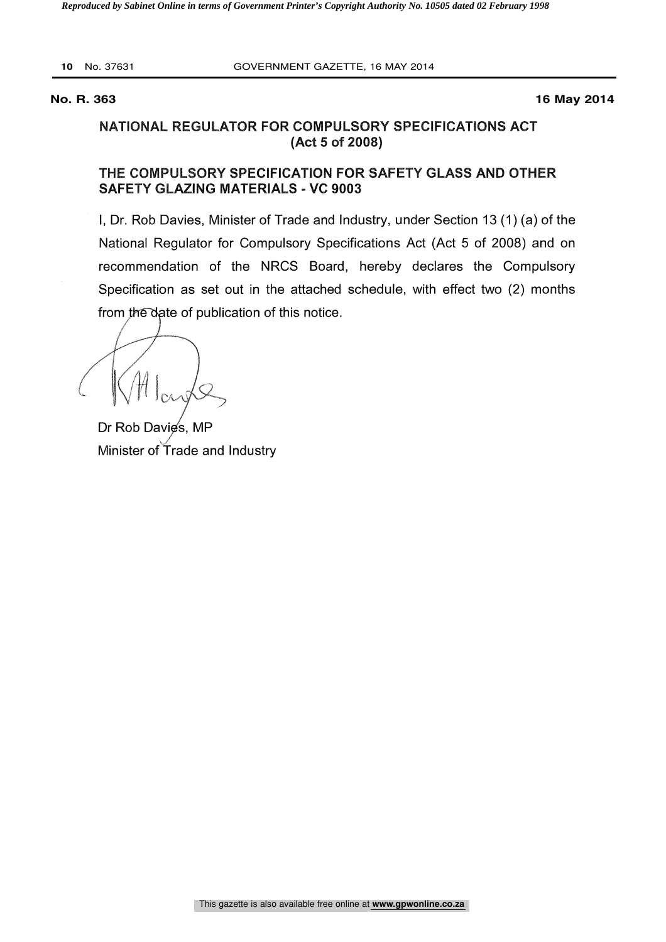**10** No. 37631 GOVERNMENT GAZETTE, 16 MAY 2014

**No. R. 363 16 May 2014**

# NATIONAL REGULATOR FOR COMPULSORY SPECIFICATIONS ACT (Act 5 of 2008)

# THE COMPULSORY SPECIFICATION FOR SAFETY GLASS AND OTHER SAFETY GLAZING MATERIALS - VC 9003

I, Dr. Rob Davies, Minister of Trade and Industry, under Section 13 (1) (a) of the National Regulator for Compulsory Specifications Act (Act 5 of 2008) and on recommendation of the NRCS Board, hereby declares the Compulsory Specification as set out in the attached schedule, with effect two (2) months from the date of publication of this notice.

Dr Rob Davies, MP Minister of Trade and Industry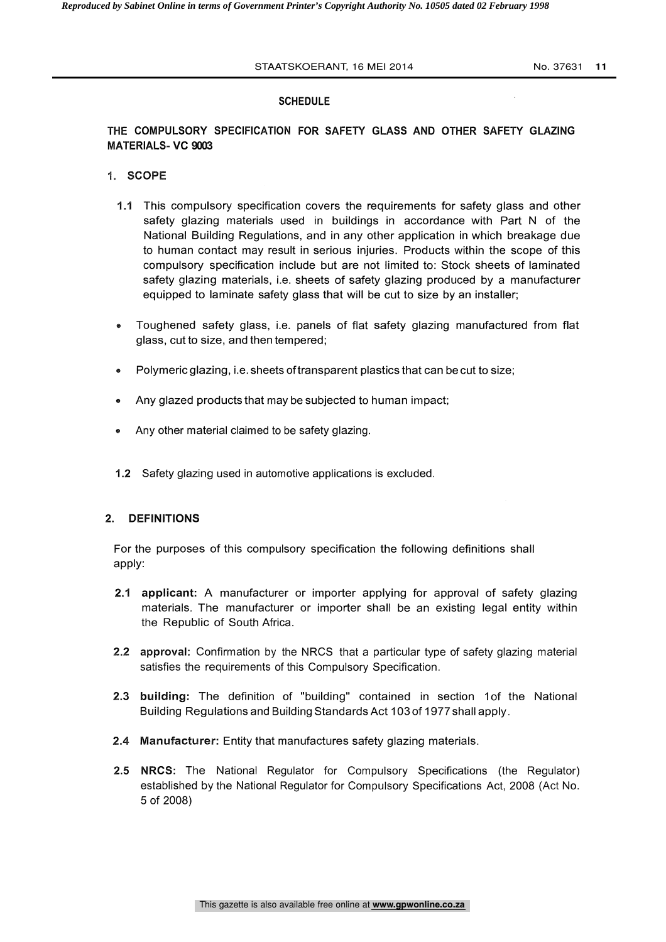#### STAATSKOERANT, 16 MEI 2014 No. 37631 11

#### **SCHEDULE**

# THE COMPULSORY SPECIFICATION FOR SAFETY GLASS AND OTHER SAFETY GLAZING MATERIALS- VC 9003

### 1. SCOPE

- 1.1 This compulsory specification covers the requirements for safety glass and other safety glazing materials used in buildings in accordance with Part N of the National Building Regulations, and in any other application in which breakage due to human contact may result in serious injuries. Products within the scope of this compulsory specification include but are not limited to: Stock sheets of laminated safety glazing materials, i.e. sheets of safety glazing produced by a manufacturer equipped to laminate safety glass that will be cut to size by an installer;
- Toughened safety glass, i.e. panels of flat safety glazing manufactured from flat glass, cut to size, and then tempered;
- Polymeric glazing, i.e. sheets of transparent plastics that can be cut to size;
- Any glazed products that may be subjected to human impact;
- Any other material claimed to be safety glazing.
- 1.2 Safety glazing used in automotive applications is excluded.

#### 2. DEFINITIONS

For the purposes of this compulsory specification the following definitions shall apply:

- 2.1 applicant: A manufacturer or importer applying for approval of safety glazing materials. The manufacturer or importer shall be an existing legal entity within the Republic of South Africa.
- 2.2 approval: Confirmation by the NRCS that a particular type of safety glazing material satisfies the requirements of this Compulsory Specification.
- 2.3 building: The definition of "building" contained in section 1of the National Building Regulations and Building Standards Act 103 of 1977 shall apply.
- 2.4 Manufacturer: Entity that manufactures safety glazing materials.
- 2.3 building: The definition of "building" contained in section 1of the National<br>Building Regulations and Building Standards Act 103 of 1977 shall apply.<br>2.4 Manufacturer: Entity that manufactures safety glazing materials. established by the National Regulator for Compulsory Specifications Act, 2008 (Act No. 5 of 2008)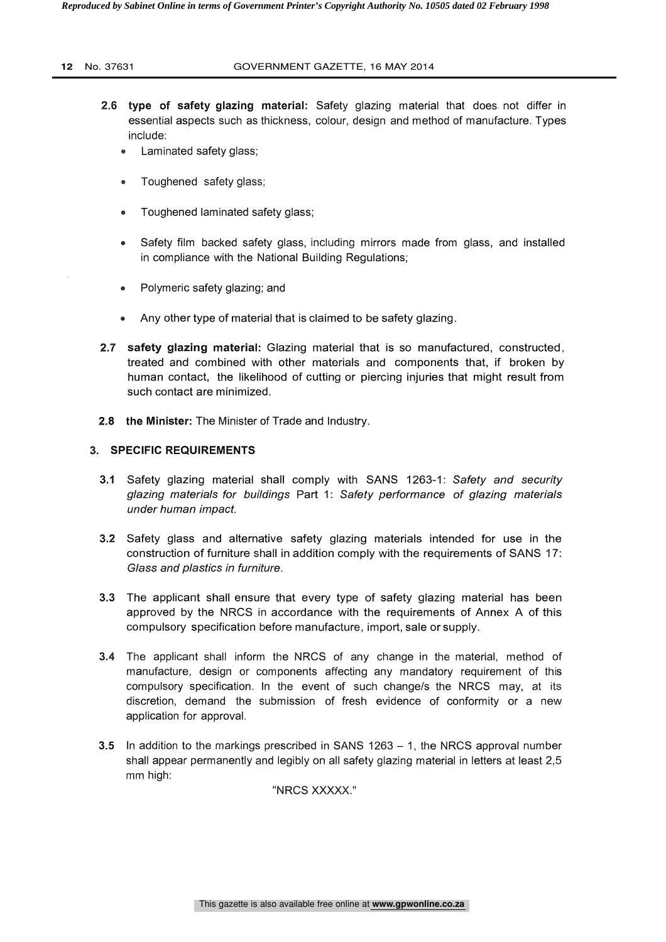### **12** No. 37631 GOVERNMENT GAZETTE, 16 MAY 2014

- 2.6 type of safety glazing material: Safety glazing material that does. not differ in essential aspects such as thickness, colour, design and method of manufacture. Types include:
	- Laminated safety glass;
	- Toughened safety glass;
	- Toughened laminated safety glass;
	- Safety film backed safety glass, including mirrors made from glass, and installed in compliance with the National Building Regulations;
	- Polymeric safety glazing; and
	- Any other type of material that is claimed to be safety glazing.
- 2.7 safety glazing material: Glazing material that is so manufactured, constructed, treated and combined with other materials and components that, if broken by human contact, the likelihood of cutting or piercing injuries that might result from such contact are minimized.
- 2.8 the Minister: The Minister of Trade and Industry.

# 3. SPECIFIC REQUIREMENTS

- 3.1 Safety glazing material shall comply with SANS 1263-1: Safety and security glazing materials for buildings Part 1: Safety performance of glazing materials under human impact.
- 3.2 Safety glass and alternative safety glazing materials intended for use in the construction of furniture shall in addition comply with the requirements of SANS 17: Glass and plastics in furniture.
- 3.3 The applicant shall ensure that every type of safety glazing material has been approved by the NRCS in accordance with the requirements of Annex A of this compulsory specification before manufacture, import, sale or supply.
- 3.4 The applicant shall inform the NRCS of any change in the material, method of manufacture, design or components affecting any mandatory requirement of this compulsory specification. In the event of such change/s the NRCS may, at its discretion, demand the submission of fresh evidence of conformity or a new application for approval.
- 3.5 In addition to the markings prescribed in SANS  $1263 1$ , the NRCS approval number shall appear permanently and legibly on all safety glazing material in letters at least 2,5 mm high:

"NRCS XXXXX."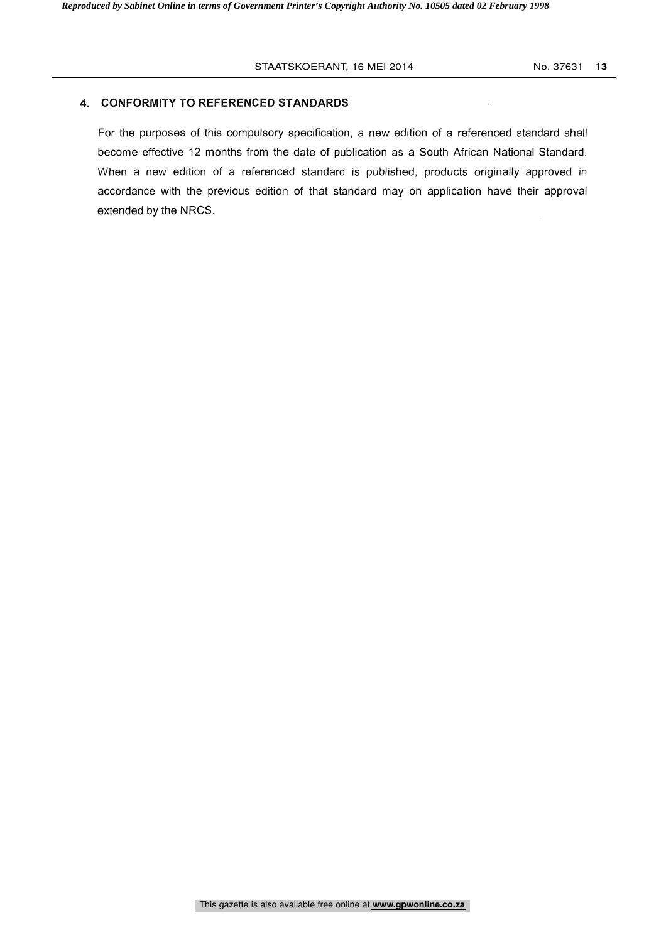## 4. CONFORMITY TO REFERENCED STANDARDS

For the purposes of this compulsory specification, a new edition of a referenced standard shall become effective 12 months from the date of publication as a South African National Standard. When a new edition of a referenced standard is published, products originally approved in accordance with the previous edition of that standard may on application have their approval extended by the NRCS.